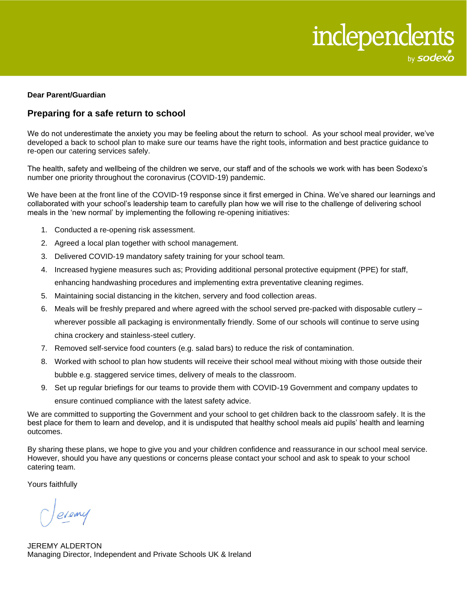

## **Dear Parent/Guardian**

## **Preparing for a safe return to school**

We do not underestimate the anxiety you may be feeling about the return to school. As your school meal provider, we've developed a back to school plan to make sure our teams have the right tools, information and best practice guidance to re-open our catering services safely.

The health, safety and wellbeing of the children we serve, our staff and of the schools we work with has been Sodexo's number one priority throughout the coronavirus (COVID-19) pandemic.

We have been at the front line of the COVID-19 response since it first emerged in China. We've shared our learnings and collaborated with your school's leadership team to carefully plan how we will rise to the challenge of delivering school meals in the 'new normal' by implementing the following re-opening initiatives:

- 1. Conducted a re-opening risk assessment.
- 2. Agreed a local plan together with school management.
- 3. Delivered COVID-19 mandatory safety training for your school team.
- 4. Increased hygiene measures such as; Providing additional personal protective equipment (PPE) for staff, enhancing handwashing procedures and implementing extra preventative cleaning regimes.
- 5. Maintaining social distancing in the kitchen, servery and food collection areas.
- 6. Meals will be freshly prepared and where agreed with the school served pre-packed with disposable cutlery wherever possible all packaging is environmentally friendly. Some of our schools will continue to serve using china crockery and stainless-steel cutlery.
- 7. Removed self-service food counters (e.g. salad bars) to reduce the risk of contamination.
- 8. Worked with school to plan how students will receive their school meal without mixing with those outside their bubble e.g. staggered service times, delivery of meals to the classroom.
- 9. Set up regular briefings for our teams to provide them with COVID-19 Government and company updates to ensure continued compliance with the latest safety advice.

We are committed to supporting the Government and your school to get children back to the classroom safely. It is the best place for them to learn and develop, and it is undisputed that healthy school meals aid pupils' health and learning outcomes.

By sharing these plans, we hope to give you and your children confidence and reassurance in our school meal service. However, should you have any questions or concerns please contact your school and ask to speak to your school catering team.

Yours faithfully

- eveny

JEREMY ALDERTON Managing Director, Independent and Private Schools UK & Ireland